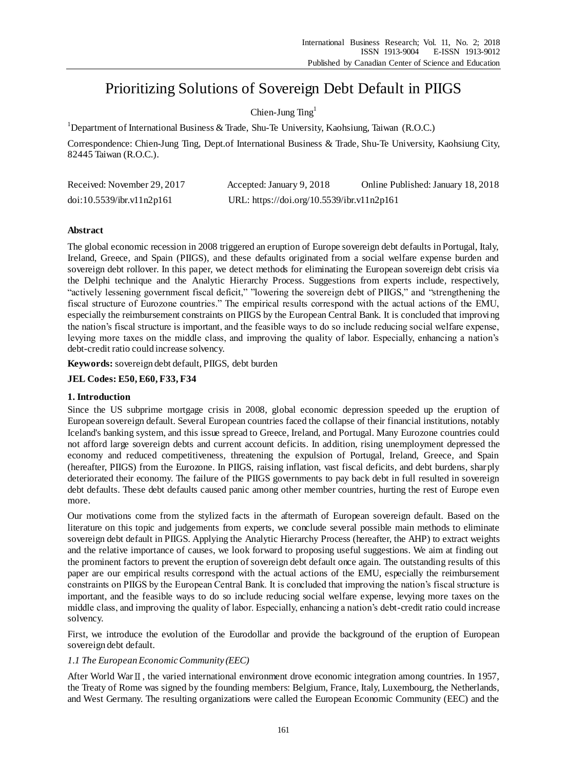# Prioritizing Solutions of Sovereign Debt Default in PIIGS

Chien-Jung  $Ting<sup>1</sup>$ 

<sup>1</sup>Department of International Business & Trade, Shu-Te University, Kaohsiung, Taiwan (R.O.C.)

Correspondence: Chien-Jung Ting, Dept.of International Business & Trade, Shu-Te University, Kaohsiung City, 82445 Taiwan (R.O.C.).

| Received: November 29, 2017 | Accepted: January 9, 2018                  | Online Published: January 18, 2018 |
|-----------------------------|--------------------------------------------|------------------------------------|
| doi:10.5539/ibr.v11n2p161   | URL: https://doi.org/10.5539/ibr.v11n2p161 |                                    |

## **Abstract**

The global economic recession in 2008 triggered an eruption of Europe sovereign debt defaults in Portugal, Italy, Ireland, Greece, and Spain (PIIGS), and these defaults originated from a social welfare expense burden and sovereign debt rollover. In this paper, we detect methods for eliminating the European sovereign debt crisis via the Delphi technique and the Analytic Hierarchy Process. Suggestions from experts include, respectively, "actively lessening government fiscal deficit," "lowering the sovereign debt of PIIGS," and "strengthening the fiscal structure of Eurozone countries." The empirical results correspond with the actual actions of the EMU, especially the reimbursement constraints on PIIGS by the European Central Bank. It is concluded that improving the nation's fiscal structure is important, and the feasible ways to do so include reducing social welfare expense, levying more taxes on the middle class, and improving the quality of labor. Especially, enhancing a nation's debt-credit ratio could increase solvency.

**Keywords:** sovereign debt default, PIIGS, debt burden

## **JEL Codes: E50, E60, F33, F34**

## **1. Introduction**

Since the US subprime mortgage crisis in 2008, global economic depression speeded up the eruption of European sovereign default. Several European countries faced the collapse of their financial institutions, notably Iceland's banking system, and this issue spread to Greece, Ireland, and Portugal. Many Eurozone countries could not afford large sovereign debts and current account deficits. In addition, rising unemployment depressed the economy and reduced competitiveness, threatening the expulsion of Portugal, Ireland, Greece, and Spain (hereafter, PIIGS) from the Eurozone. In PIIGS, raising inflation, vast fiscal deficits, and debt burdens, sharply deteriorated their economy. The failure of the PIIGS governments to pay back debt in full resulted in sovereign debt defaults. These debt defaults caused panic among other member countries, hurting the rest of Europe even more.

Our motivations come from the stylized facts in the aftermath of European sovereign default. Based on the literature on this topic and judgements from experts, we conclude several possible main methods to eliminate sovereign debt default in PIIGS. Applying the Analytic Hierarchy Process (hereafter, the AHP) to extract weights and the relative importance of causes, we look forward to proposing useful suggestions. We aim at finding out the prominent factors to prevent the eruption of sovereign debt default once again. The outstanding results of this paper are our empirical results correspond with the actual actions of the EMU, especially the reimbursement constraints on PIIGS by the European Central Bank. It is concluded that improving the nation's fiscal structure is important, and the feasible ways to do so include reducing social welfare expense, levying more taxes on the middle class, and improving the quality of labor. Especially, enhancing a nation's debt-credit ratio could increase solvency.

First, we introduce the evolution of the Eurodollar and provide the background of the eruption of European sovereign debt default.

## *1.1 The European Economic Community (EEC)*

After World WarⅡ, the varied international environment drove economic integration among countries. In 1957, the Treaty of Rome was signed by the founding members: Belgium, France, Italy, Luxembourg, the Netherlands, and West Germany. The resulting organizations were called the European Economic Community (EEC) and the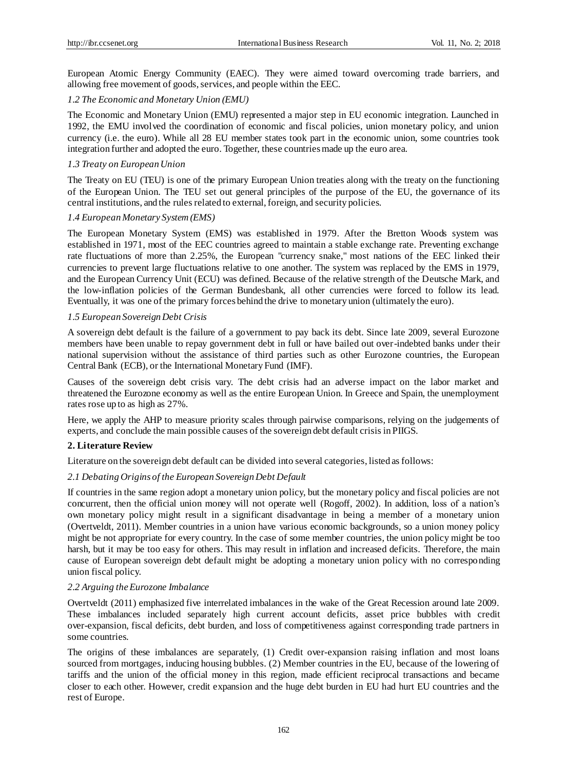European Atomic Energy Community (EAEC). They were aimed toward overcoming trade barriers, and allowing free movement of goods, services, and people within the EEC.

#### *1.2 The Economic and Monetary Union (EMU)*

The Economic and Monetary Union (EMU) represented a major step in EU economic integration. Launched in 1992, the EMU involved the coordination of economic and fiscal policies, union monetary policy, and union currency (i.e. the euro). While all 28 EU member states took part in the economic union, some countries took integration further and adopted the euro. Together, these countries made up the euro area.

#### *1.3 Treaty on European Union*

The Treaty on EU (TEU) is one of the primary European Union treaties along with the treaty on the functioning of the European Union. The TEU set out general principles of the purpose of the EU, the governance of its central institutions, and the rules related to external, foreign, and security policies.

#### *1.4 European Monetary System (EMS)*

The European Monetary System (EMS) was established in 1979. After the Bretton Woods system was established in 1971, most of the EEC countries agreed to maintain a stable exchange rate. Preventing exchange rate fluctuations of more than 2.25%, the European "currency snake," most nations of the EEC linked their currencies to prevent large fluctuations relative to one another. The system was replaced by the EMS in 1979, and the European Currency Unit (ECU) was defined. Because of the relative strength of the Deutsche Mark, and the low-inflation policies of the German Bundesbank, all other currencies were forced to follow its lead. Eventually, it was one of the primary forces behind the drive to monetary union (ultimately the euro).

### *1.5 European Sovereign Debt Crisis*

A sovereign debt default is the failure of a government to pay back its debt. Since late 2009, several Eurozone members have been unable to repay government debt in full or have bailed out over-indebted banks under their national supervision without the assistance of third parties such as other Eurozone countries, the European Central Bank (ECB), or the International Monetary Fund (IMF).

Causes of the sovereign debt crisis vary. The debt crisis had an adverse impact on the labor market and threatened the Eurozone economy as well as the entire European Union. In Greece and Spain, the unemployment rates rose up to as high as 27%.

Here, we apply the AHP to measure priority scales through pairwise comparisons, relying on the judgements of experts, and conclude the main possible causes of the sovereign debt default crisis in PIIGS.

## **2. Literature Review**

Literature on the sovereign debt default can be divided into several categories, listed as follows:

### *2.1 Debating Origins of the European Sovereign Debt Default*

If countries in the same region adopt a monetary union policy, but the monetary policy and fiscal policies are not concurrent, then the official union money will not operate well (Rogoff, 2002). In addition, loss of a nation's own monetary policy might result in a significant disadvantage in being a member of a monetary union (Overtveldt, 2011). Member countries in a union have various economic backgrounds, so a union money policy might be not appropriate for every country. In the case of some member countries, the union policy might be too harsh, but it may be too easy for others. This may result in inflation and increased deficits. Therefore, the main cause of European sovereign debt default might be adopting a monetary union policy with no corresponding union fiscal policy.

#### *2.2 Arguing the Eurozone Imbalance*

Overtveldt (2011) emphasized five interrelated imbalances in the wake of the Great Recession around late 2009. These imbalances included separately high current account deficits, asset price bubbles with credit over-expansion, fiscal deficits, debt burden, and loss of competitiveness against corresponding trade partners in some countries.

The origins of these imbalances are separately, (1) Credit over-expansion raising inflation and most loans sourced from mortgages, inducing housing bubbles. (2) Member countries in the EU, because of the lowering of tariffs and the union of the official money in this region, made efficient reciprocal transactions and became closer to each other. However, credit expansion and the huge debt burden in EU had hurt EU countries and the rest of Europe.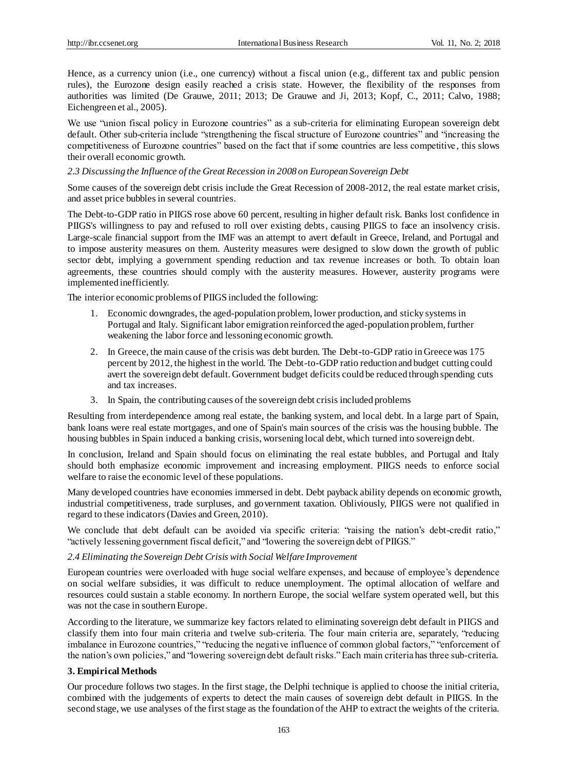Hence, as a currency union (i.e., one currency) without a fiscal union (e.g., different tax and public pension rules), the Eurozone design easily reached a crisis state. However, the flexibility of the responses from authorities was limited (De Grauwe, 2011; 2013; De Grauwe and Ji, 2013; Kopf, C., 2011; Calvo, 1988; Eichengreen et al., 2005).

We use "union fiscal policy in Eurozone countries" as a sub-criteria for eliminating European sovereign debt default. Other sub-criteria include "strengthening the fiscal structure of Eurozone countries" and "increasing the competitiveness of Eurozone countries" based on the fact that if some countries are less competitive , this slows their overall economic growth.

## *2.3 Discussing the Influence of the Great Recession in 2008 on European Sovereign Debt*

Some causes of the sovereign debt crisis include the Great Recession of 2008-2012, the real estate market crisis, and asset price bubbles in several countries.

The Debt-to-GDP ratio in PIIGS rose above 60 percent, resulting in higher default risk. Banks lost confidence in PIIGS's willingness to pay and refused to roll over existing debts, causing PIIGS to face an insolvency crisis. Large-scale financial support from the IMF was an attempt to avert default in Greece, Ireland, and Portugal and to impose austerity measures on them. Austerity measures were designed to slow down the growth of public sector debt, implying a government spending reduction and tax revenue increases or both. To obtain loan agreements, these countries should comply with the austerity measures. However, austerity programs were implemented inefficiently.

The interior economic problems of PIIGS included the following:

- 1. Economic downgrades, the aged-population problem, lower production, and sticky systems in Portugal and Italy. Significant labor emigration reinforced the aged-population problem, further weakening the labor force and lessoning economic growth.
- 2. In Greece, the main cause of the crisis was debt burden. The Debt-to-GDP ratio in Greece was 175 percent by 2012, the highest in the world. The Debt-to-GDP ratio reduction and budget cutting could avert the sovereign debt default. Government budget deficits could be reduced through spending cuts and tax increases.
- 3. In Spain, the contributing causes of the sovereign debt crisis included problems

Resulting from interdependence among real estate, the banking system, and local debt. In a large part of Spain, bank loans were real estate mortgages, and one of Spain's main sources of the crisis was the housing bubble. The housing bubbles in Spain induced a banking crisis, worsening local debt, which turned into sovereign debt.

In conclusion, Ireland and Spain should focus on eliminating the real estate bubbles, and Portugal and Italy should both emphasize economic improvement and increasing employment. PIIGS needs to enforce social welfare to raise the economic level of these populations.

Many developed countries have economies immersed in debt. Debt payback ability depends on economic growth, industrial competitiveness, trade surpluses, and government taxation. Obliviously, PIIGS were not qualified in regard to these indicators (Davies and Green, 2010).

We conclude that debt default can be avoided via specific criteria: "raising the nation's debt-credit ratio," "actively lessening government fiscal deficit," and "lowering the sovereign debt of PIIGS."

## *2.4 Eliminating the Sovereign Debt Crisis with Social Welfare Improvement*

European countries were overloaded with huge social welfare expenses, and because of employee's dependence on social welfare subsidies, it was difficult to reduce unemployment. The optimal allocation of welfare and resources could sustain a stable economy. In northern Europe, the social welfare system operated well, but this was not the case in southern Europe.

According to the literature, we summarize key factors related to eliminating sovereign debt default in PIIGS and classify them into four main criteria and twelve sub-criteria. The four main criteria are, separately, "reducing imbalance in Eurozone countries," "reducing the negative influence of common global factors," "enforcement of the nation's own policies," and "lowering sovereign debt default risks." Each main criteria has three sub-criteria.

## **3. Empirical Methods**

Our procedure follows two stages. In the first stage, the Delphi technique is applied to choose the initial criteria, combined with the judgements of experts to detect the main causes of sovereign debt default in PIIGS. In the second stage, we use analyses of the first stage as the foundation of the AHP to extract the weights of the criteria.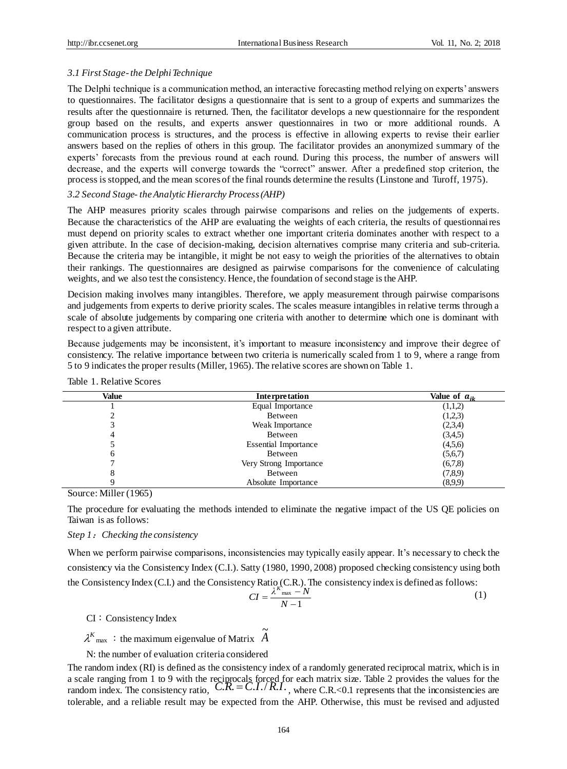## *3.1 First Stage-the Delphi Technique*

The Delphi technique is a communication method, an interactive forecasting method relying on experts' answers to questionnaires. The facilitator designs a questionnaire that is sent to a group of experts and summarizes the results after the questionnaire is returned. Then, the facilitator develops a new questionnaire for the respondent group based on the results, and experts answer questionnaires in two or more additional rounds. A communication process is structures, and the process is effective in allowing experts to revise their earlier answers based on the replies of others in this group. The facilitator provides an anonymized summary of the experts' forecasts from the previous round at each round. During this process, the number of answers will decrease, and the experts will converge towards the "correct" answer. After a predefined stop criterion, the process is stopped, and the mean scores of the final rounds determine the results (Linstone and [Turoff,](https://www.amazon.com/s/ref=dp_byline_sr_book_2?ie=UTF8&text=Murray+Turoff&search-alias=books&field-author=Murray+Turoff&sort=relevancerank) 1975).

#### *3.2 Second Stage- the Analytic Hierarchy Process (AHP)*

The AHP measures priority scales through pairwise comparisons and relies on the judgements of experts. Because the characteristics of the AHP are evaluating the weights of each criteria, the results of questionnaires must depend on priority scales to extract whether one important criteria dominates another with respect to a given attribute. In the case of decision-making, decision alternatives comprise many criteria and sub-criteria. Because the criteria may be intangible, it might be not easy to weigh the priorities of the alternatives to obtain their rankings. The questionnaires are designed as pairwise comparisons for the convenience of calculating weights, and we also test the consistency. Hence, the foundation of second stage is the AHP.

Decision making involves many intangibles. Therefore, we apply measurement through pairwise comparisons and judgements from experts to derive priority scales. The scales measure intangibles in relative terms through a scale of absolute judgements by comparing one criteria with another to determine which one is dominant with respect to a given attribute.

Because judgements may be inconsistent, it's important to measure inconsistency and improve their degree of consistency. The relative importance between two criteria is numerically scaled from 1 to 9, where a range from 5 to 9 indicates the proper results (Miller, 1965). The relative scores are shown on Table 1.

| Value | <b>Interpretation</b>       | Value of $a_{ik}$ |
|-------|-----------------------------|-------------------|
|       | Equal Importance            | (1,1,2)           |
|       | Between                     | (1,2,3)           |
|       | Weak Importance             | (2,3,4)           |
| 4     | Between                     | (3,4,5)           |
|       | <b>Essential Importance</b> | (4,5,6)           |
| 6     | Between                     | (5,6,7)           |
|       | Very Strong Importance      | (6,7,8)           |
| Õ     | Between                     | (7,8,9)           |
|       | Absolute Importance         | (8,9,9)           |

Table 1. Relative Scores

Source: Miller (1965)

The procedure for evaluating the methods intended to eliminate the negative impact of the US QE policies on Taiwan is as follows:

## *Step 1*:*Checking the consistency*

When we perform pairwise comparisons, inconsistencies may typically easily appear. It's necessary to check the consistency via the Consistency Index (C.I.). Satty (1980, 1990, 2008) proposed checking consistency using both the Consistency Index (C.I.) and the Consistency Ratio (C.R.). The consistency index is defined as follows:

$$
CI = \frac{\lambda^{K_{\text{max}}} - N}{N - 1}
$$
 (1)

CI:Consistency Index

 $\lambda^{K}$ <sub>max</sub>: the maximum eigenvalue of Matrix  $\overrightarrow{A}$  $\tilde{ }$ 

## N: the number of evaluation criteria considered

The random index (RI) is defined as the consistency index of a randomly generated reciprocal matrix, which is in a scale ranging from 1 to 9 with the reciprocals forced for each matrix size. Table 2 provides the values for the random index. The consistency ratio,  $C.R. = C.I./RI$ ., where  $C.R.<0.1$  represents that the inconsistencies are tolerable, and a reliable result may be expected from the AHP. Otherwise, this must be revised and adjusted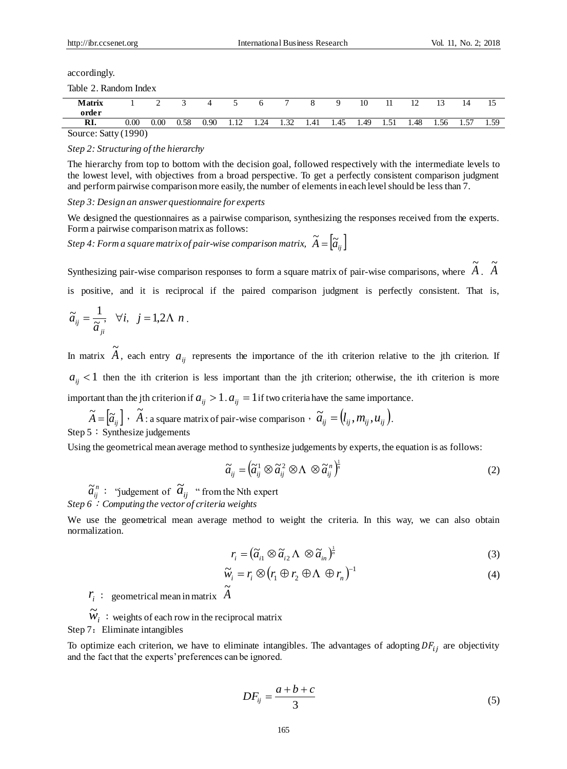accordingly.

Table 2. Random Index

| <b>Matrix</b>            |      |          |      |      |                                |      | -            |      | a    | 10   |             |      | $\sim$ | 14         |            |
|--------------------------|------|----------|------|------|--------------------------------|------|--------------|------|------|------|-------------|------|--------|------------|------------|
| order                    |      |          |      |      |                                |      |              |      |      |      |             |      |        |            |            |
| RI.                      | 0.00 | $0.00\,$ | 0.58 | 0.90 | $\overline{17}$<br><b>1.14</b> | 1.24 | . 32<br>1.JA | 1.41 | 1.45 | 1.49 | 51<br>1.J 1 | 1.48 | 1.56   | -57<br>1.J | 50<br>رن.⊥ |
| $0, \ldots, 0, u$ (1000) |      |          |      |      |                                |      |              |      |      |      |             |      |        |            |            |

Source: Satty (1990)

*Step 2: Structuring of the hierarchy*

The hierarchy from top to bottom with the decision goal, followed respectively with the intermediate levels to the lowest level, with objectives from a broad perspective. To get a perfectly consistent comparison judgment and perform pairwise comparison more easily, the number of elements in each level should be less than 7.

*Step 3: Design an answer questionnaire for experts*

We designed the questionnaires as a pairwise comparison, synthesizing the responses received from the experts. Form a pairwise comparison matrix as follows:

 $\widetilde{A}$  *Step 4: Form a square matrix of pair-wise comparison matrix,*  $\widetilde{A} = \left[ \widetilde{a}_{ij} \right]$ 

Synthesizing pair-wise comparison responses to form a square matrix of pair-wise comparisons, where *A*  $\tilde{ }$ . *A*  $\tilde{ }$ is positive, and it is reciprocal if the paired comparison judgment is perfectly consistent. That is,

$$
\widetilde{a}_{ij}=\frac{1}{\widetilde{a}_{ji}},\quad \forall i,\quad j=1,2\Lambda\ n\ .
$$

In matrix *A*  $\tilde{a}$ , each entry  $a_{ij}$  represents the importance of the ith criterion relative to the jth criterion. If  $a_{ij}$  < 1 then the ith criterion is less important than the jth criterion; otherwise, the ith criterion is more important than the jth criterion if  $a_{ij} > 1$ .  $a_{ij} = 1$  if two criteria have the same importance.

 $\widetilde{A} = [\widetilde{a}_{ij}] \cdot \widetilde{A}$  $\widetilde{A}$  : a square matrix of pair-wise comparison  $\widetilde{a}_{ij} = (l_{ij}, m_{ij}, u_{ij})$ . Step 5: Synthesize judgements

Using the geometrical mean average method to synthesize judgements by experts, the equation is as follows:

$$
\widetilde{a}_{ij} = \left(\widetilde{a}_{ij}^1 \otimes \widetilde{a}_{ij}^2 \otimes \Lambda \otimes \widetilde{a}_{ij}^n\right)^{\frac{1}{n}}
$$
(2)

 $\widetilde{a}^n_{ij}$ : "judgement of  $\widetilde{a}^n_{ij}$  " from the Nth expert *Step 6*:*Computing the vector of criteria weights* 

We use the geometrical mean average method to weight the criteria. In this way, we can also obtain normalization.

$$
r_i = \left(\widetilde{a}_{i1} \otimes \widetilde{a}_{i2} \wedge \otimes \widetilde{a}_{in}\right)^{\frac{1}{n}}
$$
\n<sup>(3)</sup>

$$
\widetilde{w}_i = r_i \otimes (r_1 \oplus r_2 \oplus \Lambda \oplus r_n)^{-1}
$$
\n(4)

 $r_i$ : geometrical mean in matrix  $\tilde{A}$  $\tilde{ }$ 

 $\widetilde{w}_i$ : weights of each row in the reciprocal matrix Step 7: Eliminate intangibles

To optimize each criterion, we have to eliminate intangibles. The advantages of adopting  $DF_{ij}$  are objectivity and the fact that the experts' preferences can be ignored.

$$
DF_{ij} = \frac{a+b+c}{3} \tag{5}
$$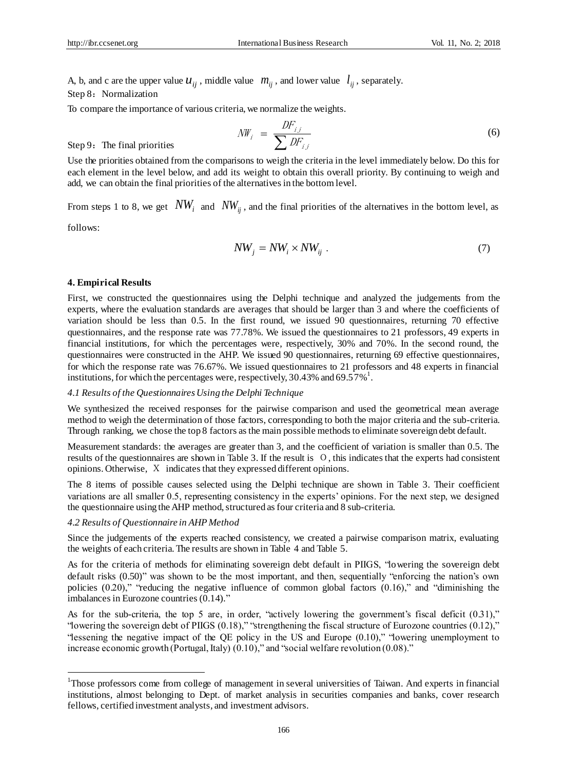A, b, and c are the upper value  $u_{ij}$ , middle value  $m_{ij}$ , and lower value  $l_{ij}$ , separately. Step 8: Normalization

To compare the importance of various criteria, we normalize the weights.

$$
N W_{i} = \frac{D F_{i,j}}{\sum D F_{i,j}} \tag{6}
$$

Step 9: The final priorities

Use the priorities obtained from the comparisons to weigh the criteria in the level immediately below. Do this for each element in the level below, and add its weight to obtain this overall priority. By continuing to weigh and add, we can obtain the final priorities of the alternatives in the bottom level.

From steps 1 to 8, we get  $NW_i$  and  $NW_{ij}$ , and the final priorities of the alternatives in the bottom level, as

follows:

1

$$
NW_j = NW_i \times NW_{ij} \ . \tag{7}
$$

#### **4. Empirical Results**

First, we constructed the questionnaires using the Delphi technique and analyzed the judgements from the experts, where the evaluation standards are averages that should be larger than 3 and where the coefficients of variation should be less than 0.5. In the first round, we issued 90 questionnaires, returning 70 effective questionnaires, and the response rate was 77.78%. We issued the questionnaires to 21 professors, 49 experts in financial institutions, for which the percentages were, respectively, 30% and 70%. In the second round, the questionnaires were constructed in the AHP. We issued 90 questionnaires, returning 69 effective questionnaires, for which the response rate was 76.67%. We issued questionnaires to 21 professors and 48 experts in financial institutions, for which the percentages were, respectively, 30.43% and 69.57%<sup>1</sup>.

#### *4.1 Results of the Questionnaires Using the Delphi Technique*

We synthesized the received responses for the pairwise comparison and used the geometrical mean average method to weigh the determination of those factors, corresponding to both the major criteria and the sub-criteria. Through ranking, we chose the top 8 factors as the main possible methods to eliminate sovereign debt default.

Measurement standards: the averages are greater than 3, and the coefficient of variation is smaller than 0.5. The results of the questionnaires are shown in Table 3. If the result is O, this indicates that the experts had consistent opinions. Otherwise, X indicates that they expressed different opinions.

The 8 items of possible causes selected using the Delphi technique are shown in Table 3. Their coefficient variations are all smaller 0.5, representing consistency in the experts' opinions. For the next step, we designed the questionnaire using the AHP method, structured as four criteria and 8 sub-criteria.

#### *4.2 Results of Questionnaire in AHP Method*

Since the judgements of the experts reached consistency, we created a pairwise comparison matrix, evaluating the weights of each criteria. The results are shown in Table 4 and Table 5.

As for the criteria of methods for eliminating sovereign debt default in PIIGS, "lowering the sovereign debt default risks (0.50)" was shown to be the most important, and then, sequentially "enforcing the nation's own policies (0.20)," "reducing the negative influence of common global factors (0.16)," and "diminishing the imbalances in Eurozone countries (0.14)."

As for the sub-criteria, the top 5 are, in order, "actively lowering the government's fiscal deficit (0.31)," "lowering the sovereign debt of PIIGS (0.18)," "strengthening the fiscal structure of Eurozone countries (0.12)," "lessening the negative impact of the QE policy in the US and Europe (0.10)," "lowering unemployment to increase economic growth (Portugal, Italy) (0.10)," and "social welfare revolution (0.08)."

<sup>&</sup>lt;sup>1</sup>Those professors come from college of management in several universities of Taiwan. And experts in financial institutions, almost belonging to Dept. of market analysis in securities companies and banks, cover research fellows, certified investment analysts, and investment advisors.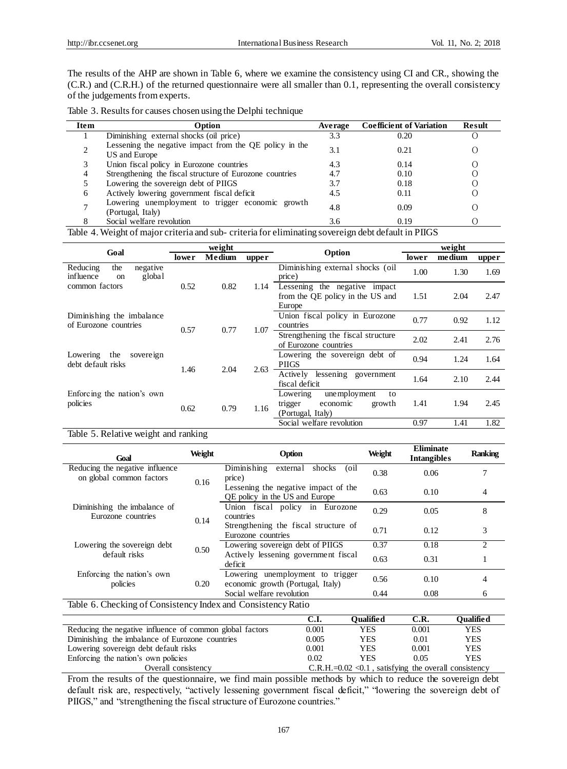The results of the AHP are shown in Table 6, where we examine the consistency using CI and CR., showing the (C.R.) and (C.R.H.) of the returned questionnaire were all smaller than 0.1, representing the overall consistency of the judgements from experts.

| Table 3. Results for causes chosen using the Delphi technique |  |  |
|---------------------------------------------------------------|--|--|
|---------------------------------------------------------------|--|--|

| <b>Item</b> | Option                                                                   | Average | <b>Coefficient of Variation</b> | Result |  |
|-------------|--------------------------------------------------------------------------|---------|---------------------------------|--------|--|
|             | Diminishing external shocks (oil price)                                  | 3.3     | 0.20                            |        |  |
|             | Lessening the negative impact from the QE policy in the<br>US and Europe | 3.1     | 0.21                            |        |  |
|             | Union fiscal policy in Eurozone countries                                | 4.3     | 0.14                            |        |  |
|             | Strengthening the fiscal structure of Eurozone countries                 | 4.7     | 0.10                            |        |  |
|             | Lowering the sovereign debt of PIIGS                                     | 3.7     | 0.18                            |        |  |
| 6           | Actively lowering government fiscal deficit                              | 4.5     | 0.11                            |        |  |
|             | Lowering unemployment to trigger economic growth<br>(Portugal, Italy)    | 4.8     | 0.09                            |        |  |
|             | Social welfare revolution                                                | 3.6     | 0.19                            |        |  |

Table 4. Weight of major criteria and sub- criteria for eliminating sovereign debt default in PIIGS

|                                                                     | weight |        |       |                                                                                      | weight |        |       |
|---------------------------------------------------------------------|--------|--------|-------|--------------------------------------------------------------------------------------|--------|--------|-------|
| Goal                                                                | lowe r | Medium | upper | Option                                                                               | lower  | medium | upper |
| Reducing<br>the<br>negative<br>global<br>influence<br><sub>on</sub> |        |        |       | Diminishing external shocks (oil<br>price)                                           | 1.00   | 1.30   | 1.69  |
| common factors                                                      | 0.52   | 0.82   | 1.14  | Lessening the negative impact<br>from the QE policy in the US and<br>Europe          | 1.51   | 2.04   | 2.47  |
| Diminishing the imbalance<br>of Eurozone countries                  | 0.57   | 0.77   | 1.07  | Union fiscal policy in Eurozone<br>countries                                         | 0.77   | 0.92   | 1.12  |
|                                                                     |        |        |       | Strengthening the fiscal structure<br>of Eurozone countries                          | 2.02   | 2.41   | 2.76  |
| the<br>Lowering<br>sovere ign<br>debt default risks                 | 1.46   | 2.04   | 2.63  | Lowering the sovereign debt of<br><b>PIIGS</b>                                       | 0.94   | 1.24   | 1.64  |
|                                                                     |        |        |       | lessening government<br>Active ly<br>fiscal deficit                                  | 1.64   | 2.10   | 2.44  |
| Enforcing the nation's own<br>policies                              | 0.62   | 0.79   | 1.16  | Lowering<br>unemployment<br>to<br>economic<br>growth<br>trigger<br>(Portugal, Italy) | 1.41   | 1.94   | 2.45  |
|                                                                     |        |        |       | Social welfare revolution                                                            | 0.97   | 1.41   | 1.82  |

Table 5. Relative weight and ranking

| Goal                                                         | Weight | Option                                                                 | Weight | <b>Eliminate</b><br><b>Intangibles</b> | <b>Ranking</b> |  |
|--------------------------------------------------------------|--------|------------------------------------------------------------------------|--------|----------------------------------------|----------------|--|
| Reducing the negative influence<br>on global common factors  | 0.16   | Diminishing<br>external shocks<br>(oil)<br>price)                      | 0.38   | 0.06                                   |                |  |
|                                                              |        | Lessening the negative impact of the<br>OE policy in the US and Europe | 0.63   | 0.10                                   | 4              |  |
| Diminishing the imbalance of<br>Eurozone countries           | 0.14   | Union fiscal policy in Eurozone<br>countries                           | 0.29   | 0.05                                   | 8              |  |
|                                                              |        | Strengthening the fiscal structure of<br>Eurozone countries            | 0.71   | 0.12                                   | 3              |  |
| Lowering the sovereign debt                                  | 0.50   | Lowering sovereign debt of PIIGS                                       | 0.37   | 0.18                                   | 2              |  |
| default risks                                                |        | Actively lessening government fiscal<br>deficit                        | 0.63   | 0.31                                   |                |  |
| Enforcing the nation's own<br>policies                       | 0.20   | Lowering unemployment to trigger<br>economic growth (Portugal, Italy)  | 0.56   | 0.10                                   | 4              |  |
|                                                              |        | Social welfare revolution                                              | 0.44   | 0.08                                   | 6              |  |
| Table 6. Checking of Consistency Index and Consistency Ratio |        |                                                                        |        |                                        |                |  |

|                                                          | C.I.  | <b>Oualified</b>                                         | C.R.  | Oualified  |
|----------------------------------------------------------|-------|----------------------------------------------------------|-------|------------|
|                                                          |       |                                                          |       |            |
| Reducing the negative influence of common global factors | 0.001 | YES                                                      | 0.001 | YES        |
| Diminishing the imbalance of Eurozone countries          | 0.005 | YES                                                      | 0.01  | YES        |
| Lowering sovereign debt default risks                    | 0.001 | YES                                                      | 0.001 | <b>YES</b> |
| Enforcing the nation's own policies                      | 0.02  | YES                                                      | 0.05  | <b>YES</b> |
| Overall consistency                                      |       | $C.R.H.=0.02 < 0.1$ , satisfying the overall consistency |       |            |

From the results of the questionnaire, we find main possible methods by which to reduce the sovereign debt default risk are, respectively, "actively lessening government fiscal deficit," "lowering the sovereign debt of PIIGS," and "strengthening the fiscal structure of Eurozone countries."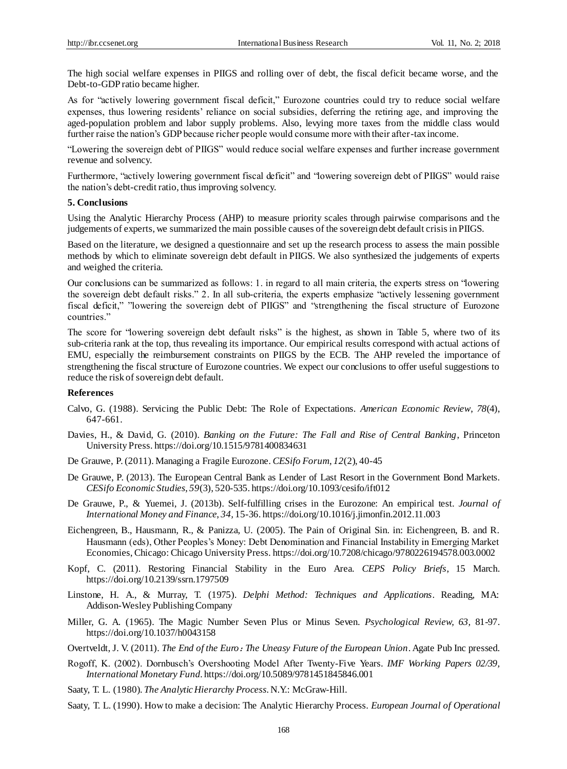The high social welfare expenses in PIIGS and rolling over of debt, the fiscal deficit became worse, and the Debt-to-GDP ratio became higher.

As for "actively lowering government fiscal deficit," Eurozone countries could try to reduce social welfare expenses, thus lowering residents' reliance on social subsidies, deferring the retiring age, and improving the aged-population problem and labor supply problems. Also, levying more taxes from the middle class would further raise the nation's GDP because richer people would consume more with their after-tax income.

"Lowering the sovereign debt of PIIGS" would reduce social welfare expenses and further increase government revenue and solvency.

Furthermore, "actively lowering government fiscal deficit" and "lowering sovereign debt of PIIGS" would raise the nation's debt-credit ratio, thus improving solvency.

#### **5. Conclusions**

Using the Analytic Hierarchy Process (AHP) to measure priority scales through pairwise comparisons and the judgements of experts, we summarized the main possible causes of the sovereign debt default crisis in PIIGS.

Based on the literature, we designed a questionnaire and set up the research process to assess the main possible methods by which to eliminate sovereign debt default in PIIGS. We also synthesized the judgements of experts and weighed the criteria.

Our conclusions can be summarized as follows: 1. in regard to all main criteria, the experts stress on "lowering the sovereign debt default risks." 2. In all sub-criteria, the experts emphasize "actively lessening government fiscal deficit," "lowering the sovereign debt of PIIGS" and "strengthening the fiscal structure of Eurozone countries."

The score for "lowering sovereign debt default risks" is the highest, as shown in Table 5, where two of its sub-criteria rank at the top, thus revealing its importance. Our empirical results correspond with actual actions of EMU, especially the reimbursement constraints on PIIGS by the ECB. The AHP reveled the importance of strengthening the fiscal structure of Eurozone countries. We expect our conclusions to offer useful suggestions to reduce the risk of sovereign debt default.

#### **References**

- Calvo, G. (1988). Servicing the Public Debt: The Role of Expectations. *American Economic Review*, *78*(4), 647-661.
- Davies, H., & David, G. (2010). *Banking on the Future: The Fall and Rise of Central Banking*, Princeton University Press. https://doi.org/10.1515/9781400834631
- De Grauwe, P.(2011). Managing a Fragile Eurozone. *CESifo Forum*, *12*(2), 40-45
- De Grauwe, P. (2013). The European Central Bank as Lender of Last Resort in the Government Bond Markets. *CESifo Economic Studies*, *59*(3), 520-535. https://doi.org/10.1093/cesifo/ift012
- De Grauwe, P., & Yuemei, J. (2013b). Self-fulfilling crises in the Eurozone: An empirical test. *Journal of International Money and Finance*, *34,* 15-36. https://doi.org/10.1016/j.jimonfin.2012.11.003
- Eichengreen, B., Hausmann, R., & Panizza, U. (2005). The Pain of Original Sin. in: Eichengreen, B. and R. Hausmann (eds), Other Peoples's Money: Debt Denomination and Financial Instability in Emerging Market Economies, Chicago: Chicago University Press. https://doi.org/10.7208/chicago/9780226194578.003.0002
- Kopf, C. (2011). Restoring Financial Stability in the Euro Area. *CEPS Policy Briefs*, 15 March. https://doi.org/10.2139/ssrn.1797509
- Linstone, [H. A.,](https://www.amazon.com/s/ref=dp_byline_sr_book_1?ie=UTF8&text=Harold+A.+Linstone&search-alias=books&field-author=Harold+A.+Linstone&sort=relevancerank) & [Murray,](https://www.amazon.com/s/ref=dp_byline_sr_book_2?ie=UTF8&text=Murray+Turoff&search-alias=books&field-author=Murray+Turoff&sort=relevancerank) T. (1975). *Delphi Method: Techniques and Applications*. Reading, MA: Addison-Wesley Publishing Company
- Miller, G. A. (1965). The Magic Number Seven Plus or Minus Seven. *Psychological Review, 63,* 81-97. https://doi.org/10.1037/h0043158
- Overtveldt, J. V. (2011). *The End of the Euro*:*[The Uneasy Future of the European Union](http://search.books.com.tw/search/query/cat/all/key/The%20End%20of%20the%20Euro%EF%BC%9AThe%20Uneasy%20Future%20of%20the%20European%20Union)*. Agate Pub Inc pressed.
- Rogoff, K. (2002). Dornbusch's Overshooting Model After Twenty-Five Years. *IMF Working Papers 02/39, International Monetary Fund*. https://doi.org/10.5089/9781451845846.001
- Saaty, T. L. (1980). *The Analytic Hierarchy Process*. N.Y.: McGraw-Hill.
- Saaty, T. L. (1990). How to make a decision: The Analytic Hierarchy Process. *European Journal of Operational*